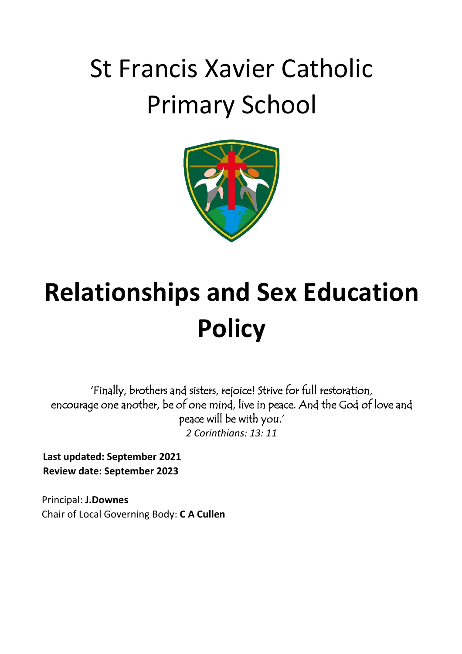# St Francis Xavier Catholic Primary School



# **Relationships and Sex Education Policy**

'Finally, brothers and sisters, rejoice! Strive for full restoration, encourage one another, be of one mind, live in peace. And the God of love and peace will be with you.' *2 Corinthians: 13: 11*

**Last updated: September 2021 Review date: September 2023**

Principal: **J.Downes** Chair of Local Governing Body: **C A Cullen**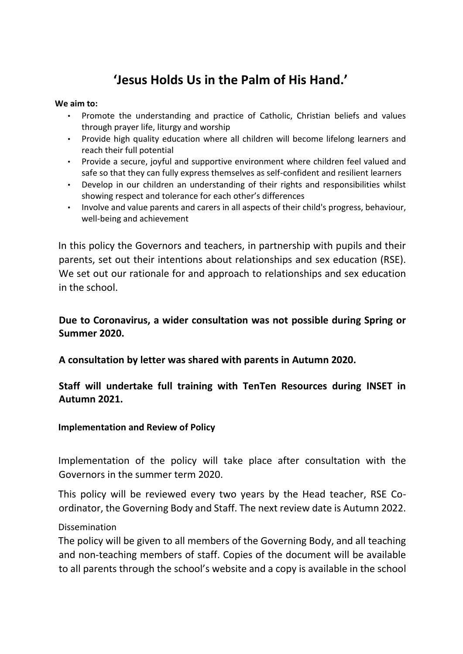# **'Jesus Holds Us in the Palm of His Hand.'**

#### **We aim to:**

- Promote the understanding and practice of Catholic, Christian beliefs and values through prayer life, liturgy and worship
- Provide high quality education where all children will become lifelong learners and reach their full potential
- Provide a secure, joyful and supportive environment where children feel valued and safe so that they can fully express themselves as self-confident and resilient learners
- Develop in our children an understanding of their rights and responsibilities whilst showing respect and tolerance for each other's differences
- Involve and value parents and carers in all aspects of their child's progress, behaviour, well-being and achievement

In this policy the Governors and teachers, in partnership with pupils and their parents, set out their intentions about relationships and sex education (RSE). We set out our rationale for and approach to relationships and sex education in the school.

**Due to Coronavirus, a wider consultation was not possible during Spring or Summer 2020.**

**A consultation by letter was shared with parents in Autumn 2020.**

#### **Staff will undertake full training with TenTen Resources during INSET in Autumn 2021.**

**Implementation and Review of Policy** 

Implementation of the policy will take place after consultation with the Governors in the summer term 2020.

This policy will be reviewed every two years by the Head teacher, RSE Coordinator, the Governing Body and Staff. The next review date is Autumn 2022.

#### Dissemination

The policy will be given to all members of the Governing Body, and all teaching and non-teaching members of staff. Copies of the document will be available to all parents through the school's website and a copy is available in the school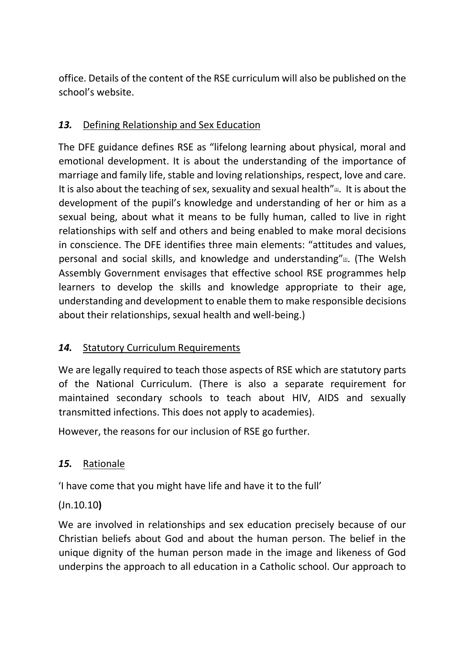office. Details of the content of the RSE curriculum will also be published on the school's website.

# *13.* Defining Relationship and Sex Education

The DFE guidance defines RSE as "lifelong learning about physical, moral and emotional development. It is about the understanding of the importance of marriage and family life, stable and loving relationships, respect, love and care. It is also about the teaching of sex, sexuality and sexual health["](https://education.rcdow.org.uk/schools/a-model-policy-for-relationships-and-sex-education/#_ftn1) $\mathfrak{m}$ [.](https://education.rcdow.org.uk/schools/a-model-policy-for-relationships-and-sex-education/#_ftn1) It is about the development of the pupil's knowledge and understanding of her or him as a sexual being, about what it means to be fully human, called to live in right relationships with self and others and being enabled to make moral decisions in conscience. The DFE identifies three main elements: "attitudes and values, personal and social skills, and knowledge and understanding["](https://education.rcdow.org.uk/schools/a-model-policy-for-relationships-and-sex-education/#_ftn2) $\mathbb{Z}$ [.](https://education.rcdow.org.uk/schools/a-model-policy-for-relationships-and-sex-education/#_ftn2) (The Welsh Assembly Government envisages that effective school RSE programmes help learners to develop the skills and knowledge appropriate to their age, understanding and development to enable them to make responsible decisions about their relationships, sexual health and well-being.)

#### *14.* Statutory Curriculum Requirements

We are legally required to teach those aspects of RSE which are statutory parts of the National Curriculum. (There is also a separate requirement for maintained secondary schools to teach about HIV, AIDS and sexually transmitted infections. This does not apply to academies).

However, the reasons for our inclusion of RSE go further.

# *15.* Rationale

'I have come that you might have life and have it to the full'

#### (Jn.10.10**)**

We are involved in relationships and sex education precisely because of our Christian beliefs about God and about the human person. The belief in the unique dignity of the human person made in the image and likeness of God underpins the approach to all education in a Catholic school. Our approach to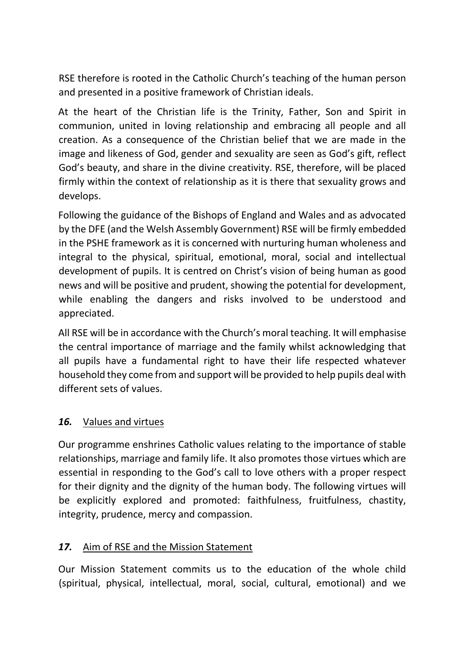RSE therefore is rooted in the Catholic Church's teaching of the human person and presented in a positive framework of Christian ideals.

At the heart of the Christian life is the Trinity, Father, Son and Spirit in communion, united in loving relationship and embracing all people and all creation. As a consequence of the Christian belief that we are made in the image and likeness of God, gender and sexuality are seen as God's gift, reflect God's beauty, and share in the divine creativity. RSE, therefore, will be placed firmly within the context of relationship as it is there that sexuality grows and develops.

Following the guidance of the Bishops of England and Wales and as advocated by the DFE (and the Welsh Assembly Government) RSE will be firmly embedded in the PSHE framework as it is concerned with nurturing human wholeness and integral to the physical, spiritual, emotional, moral, social and intellectual development of pupils. It is centred on Christ's vision of being human as good news and will be positive and prudent, showing the potential for development, while enabling the dangers and risks involved to be understood and appreciated.

All RSE will be in accordance with the Church's moral teaching. It will emphasise the central importance of marriage and the family whilst acknowledging that all pupils have a fundamental right to have their life respected whatever household they come from and support will be provided to help pupils deal with different sets of values.

#### *16.* Values and virtues

Our programme enshrines Catholic values relating to the importance of stable relationships, marriage and family life. It also promotes those virtues which are essential in responding to the God's call to love others with a proper respect for their dignity and the dignity of the human body. The following virtues will be explicitly explored and promoted: faithfulness, fruitfulness, chastity, integrity, prudence, mercy and compassion.

#### *17.* Aim of RSE and the Mission Statement

Our Mission Statement commits us to the education of the whole child (spiritual, physical, intellectual, moral, social, cultural, emotional) and we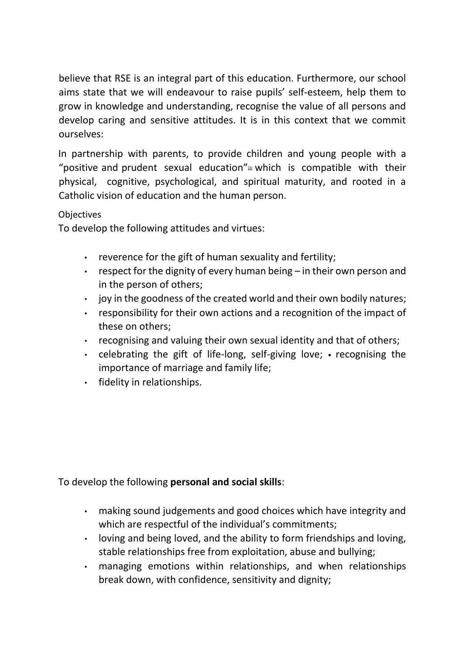believe that RSE is an integral part of this education. Furthermore, our school aims state that we will endeavour to raise pupils' self-esteem, help them to grow in knowledge and understanding, recognise the value of all persons and develop caring and sensitive attitudes. It is in this context that we commit ourselves:

In partnership with parents, to provide children and young people with a ["](https://education.rcdow.org.uk/schools/a-model-policy-for-relationships-and-sex-education/#_ftn3)positive and prudent sexual education" $\Delta$  [w](https://education.rcdow.org.uk/schools/a-model-policy-for-relationships-and-sex-education/#_ftn3)hich is compatible with their physical, cognitive, psychological, and spiritual maturity, and rooted in a Catholic vision of education and the human person.

#### **Objectives**

To develop the following attitudes and virtues:

- reverence for the gift of human sexuality and fertility;
- respect for the dignity of every human being in their own person and in the person of others;
- joy in the goodness of the created world and their own bodily natures;
- responsibility for their own actions and a recognition of the impact of these on others;
- recognising and valuing their own sexual identity and that of others;
- celebrating the gift of life-long, self-giving love; recognising the importance of marriage and family life;
- fidelity in relationships.

#### To develop the following **personal and social skills**:

- making sound judgements and good choices which have integrity and which are respectful of the individual's commitments;
- loving and being loved, and the ability to form friendships and loving, stable relationships free from exploitation, abuse and bullying;
- managing emotions within relationships, and when relationships break down, with confidence, sensitivity and dignity;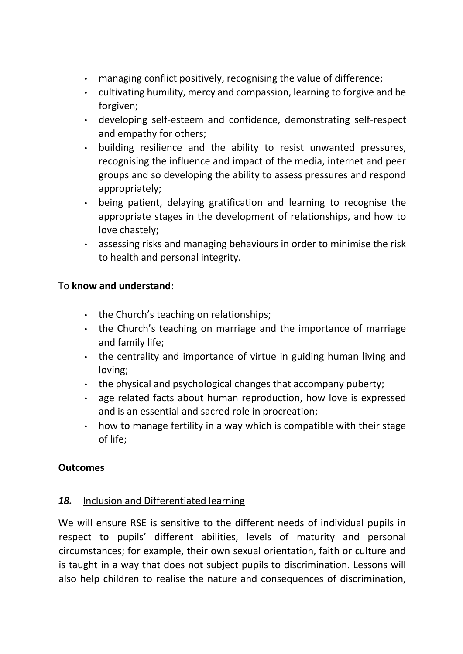- managing conflict positively, recognising the value of difference;
- cultivating humility, mercy and compassion, learning to forgive and be forgiven;
- developing self-esteem and confidence, demonstrating self-respect and empathy for others;
- building resilience and the ability to resist unwanted pressures, recognising the influence and impact of the media, internet and peer groups and so developing the ability to assess pressures and respond appropriately;
- being patient, delaying gratification and learning to recognise the appropriate stages in the development of relationships, and how to love chastely;
- assessing risks and managing behaviours in order to minimise the risk to health and personal integrity.

#### To **know and understand**:

- the Church's teaching on relationships;
- the Church's teaching on marriage and the importance of marriage and family life;
- the centrality and importance of virtue in guiding human living and loving;
- the physical and psychological changes that accompany puberty;
- age related facts about human reproduction, how love is expressed and is an essential and sacred role in procreation;
- how to manage fertility in a way which is compatible with their stage of life;

#### **Outcomes**

#### *18.* Inclusion and Differentiated learning

We will ensure RSE is sensitive to the different needs of individual pupils in respect to pupils' different abilities, levels of maturity and personal circumstances; for example, their own sexual orientation, faith or culture and is taught in a way that does not subject pupils to discrimination. Lessons will also help children to realise the nature and consequences of discrimination,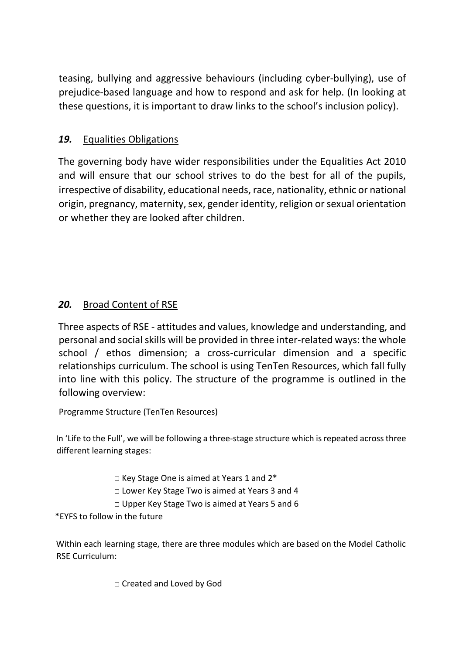teasing, bullying and aggressive behaviours (including cyber-bullying), use of prejudice-based language and how to respond and ask for help. (In looking at these questions, it is important to draw links to the school's inclusion policy).

### *19.* Equalities Obligations

The governing body have wider responsibilities under the Equalities Act 2010 and will ensure that our school strives to do the best for all of the pupils, irrespective of disability, educational needs, race, nationality, ethnic or national origin, pregnancy, maternity, sex, gender identity, religion or sexual orientation or whether they are looked after children.

# *20.* Broad Content of RSE

Three aspects of RSE - attitudes and values, knowledge and understanding, and personal and social skills will be provided in three inter-related ways: the whole school / ethos dimension; a cross-curricular dimension and a specific relationships curriculum. The school is using TenTen Resources, which fall fully into line with this policy. The structure of the programme is outlined in the following overview:

Programme Structure (TenTen Resources)

In 'Life to the Full', we will be following a three-stage structure which is repeated across three different learning stages:

□ Key Stage One is aimed at Years 1 and 2\*

□ Lower Key Stage Two is aimed at Years 3 and 4

□ Upper Key Stage Two is aimed at Years 5 and 6

\*EYFS to follow in the future

Within each learning stage, there are three modules which are based on the Model Catholic RSE Curriculum:

□ Created and Loved by God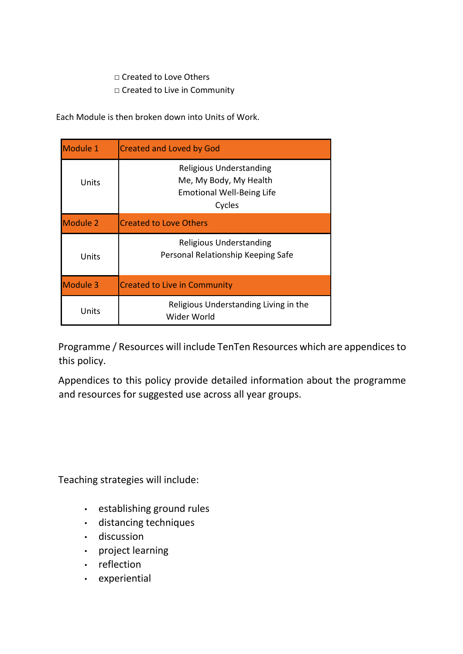#### □ Created to Love Others □ Created to Live in Community

Each Module is then broken down into Units of Work.

| Module 1        | <b>Created and Loved by God</b>                                                                        |
|-----------------|--------------------------------------------------------------------------------------------------------|
| Units           | <b>Religious Understanding</b><br>Me, My Body, My Health<br><b>Emotional Well-Being Life</b><br>Cycles |
| <b>Module 2</b> | <b>Created to Love Others</b>                                                                          |
| Units           | <b>Religious Understanding</b><br>Personal Relationship Keeping Safe                                   |
| Module 3        | <b>Created to Live in Community</b>                                                                    |
| Units           | Religious Understanding Living in the<br>Wider World                                                   |

Programme / Resources will include TenTen Resources which are appendices to this policy.

Appendices to this policy provide detailed information about the programme and resources for suggested use across all year groups.

Teaching strategies will include:

- establishing ground rules
- distancing techniques
- discussion
- project learning
- reflection
- experiential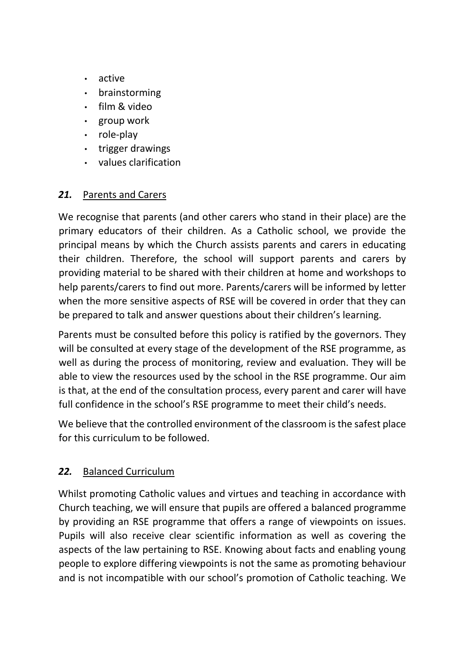- active
- brainstorming
- film & video
- group work
- role-play
- trigger drawings
- values clarification

#### *21.* Parents and Carers

We recognise that parents (and other carers who stand in their place) are the primary educators of their children. As a Catholic school, we provide the principal means by which the Church assists parents and carers in educating their children. Therefore, the school will support parents and carers by providing material to be shared with their children at home and workshops to help parents/carers to find out more. Parents/carers will be informed by letter when the more sensitive aspects of RSE will be covered in order that they can be prepared to talk and answer questions about their children's learning.

Parents must be consulted before this policy is ratified by the governors. They will be consulted at every stage of the development of the RSE programme, as well as during the process of monitoring, review and evaluation. They will be able to view the resources used by the school in the RSE programme. Our aim is that, at the end of the consultation process, every parent and carer will have full confidence in the school's RSE programme to meet their child's needs.

We believe that the controlled environment of the classroom is the safest place for this curriculum to be followed.

#### *22.* Balanced Curriculum

Whilst promoting Catholic values and virtues and teaching in accordance with Church teaching, we will ensure that pupils are offered a balanced programme by providing an RSE programme that offers a range of viewpoints on issues. Pupils will also receive clear scientific information as well as covering the aspects of the law pertaining to RSE. Knowing about facts and enabling young people to explore differing viewpoints is not the same as promoting behaviour and is not incompatible with our school's promotion of Catholic teaching. We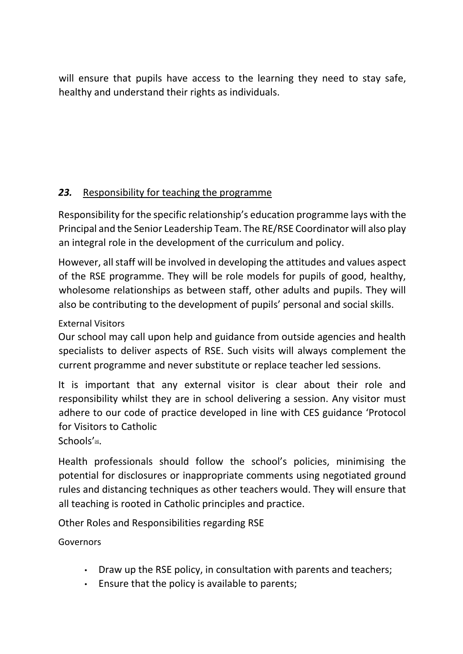will ensure that pupils have access to the learning they need to stay safe, healthy and understand their rights as individuals.

# *23.* Responsibility for teaching the programme

Responsibility for the specific relationship's education programme lays with the Principal and the Senior Leadership Team. The RE/RSE Coordinator will also play an integral role in the development of the curriculum and policy.

However, all staff will be involved in developing the attitudes and values aspect of the RSE programme. They will be role models for pupils of good, healthy, wholesome relationships as between staff, other adults and pupils. They will also be contributing to the development of pupils' personal and social skills.

### External Visitors

Our school may call upon help and guidance from outside agencies and health specialists to deliver aspects of RSE. Such visits will always complement the current programme and never substitute or replace teacher led sessions.

It is important that any external visitor is clear about their role and responsibility whilst they are in school delivering a session. Any visitor must adhere to our code of practice developed in line with CES guidance 'Protocol for Visitors to Catholic

Schools['](https://education.rcdow.org.uk/schools/a-model-policy-for-relationships-and-sex-education/#_ftn4)4[.](https://education.rcdow.org.uk/schools/a-model-policy-for-relationships-and-sex-education/#_ftn4)

Health professionals should follow the school's policies, minimising the potential for disclosures or inappropriate comments using negotiated ground rules and distancing techniques as other teachers would. They will ensure that all teaching is rooted in Catholic principles and practice.

Other Roles and Responsibilities regarding RSE

Governors

- Draw up the RSE policy, in consultation with parents and teachers;
- Ensure that the policy is available to parents;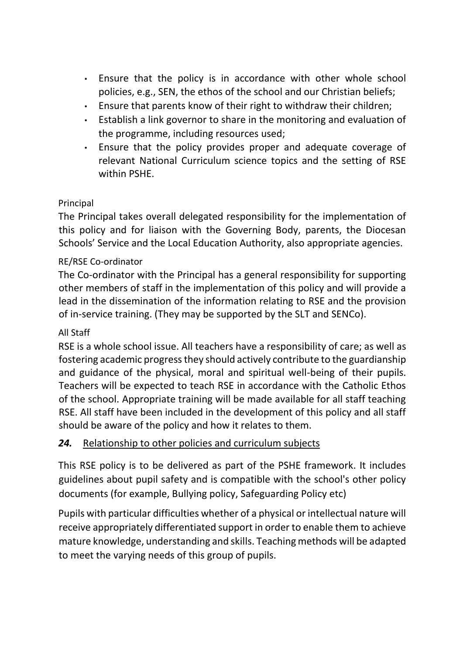- Ensure that the policy is in accordance with other whole school policies, e.g., SEN, the ethos of the school and our Christian beliefs;
- Ensure that parents know of their right to withdraw their children;
- Establish a link governor to share in the monitoring and evaluation of the programme, including resources used;
- Ensure that the policy provides proper and adequate coverage of relevant National Curriculum science topics and the setting of RSE within PSHE.

#### Principal

The Principal takes overall delegated responsibility for the implementation of this policy and for liaison with the Governing Body, parents, the Diocesan Schools' Service and the Local Education Authority, also appropriate agencies.

#### RE/RSE Co-ordinator

The Co-ordinator with the Principal has a general responsibility for supporting other members of staff in the implementation of this policy and will provide a lead in the dissemination of the information relating to RSE and the provision of in-service training. (They may be supported by the SLT and SENCo).

#### All Staff

RSE is a whole school issue. All teachers have a responsibility of care; as well as fostering academic progress they should actively contribute to the guardianship and guidance of the physical, moral and spiritual well-being of their pupils. Teachers will be expected to teach RSE in accordance with the Catholic Ethos of the school. Appropriate training will be made available for all staff teaching RSE. All staff have been included in the development of this policy and all staff should be aware of the policy and how it relates to them.

#### *24.* Relationship to other policies and curriculum subjects

This RSE policy is to be delivered as part of the PSHE framework. It includes guidelines about pupil safety and is compatible with the school's other policy documents (for example, Bullying policy, Safeguarding Policy etc)

Pupils with particular difficulties whether of a physical or intellectual nature will receive appropriately differentiated support in order to enable them to achieve mature knowledge, understanding and skills. Teaching methods will be adapted to meet the varying needs of this group of pupils.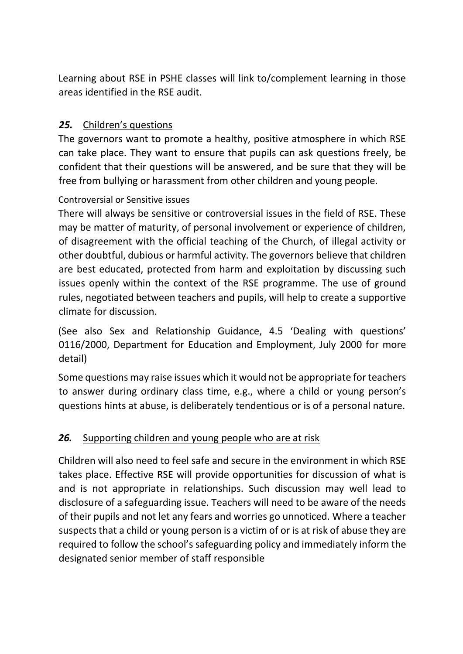Learning about RSE in PSHE classes will link to/complement learning in those areas identified in the RSE audit.

# *25.* Children's questions

The governors want to promote a healthy, positive atmosphere in which RSE can take place. They want to ensure that pupils can ask questions freely, be confident that their questions will be answered, and be sure that they will be free from bullying or harassment from other children and young people.

#### Controversial or Sensitive issues

There will always be sensitive or controversial issues in the field of RSE. These may be matter of maturity, of personal involvement or experience of children, of disagreement with the official teaching of the Church, of illegal activity or other doubtful, dubious or harmful activity. The governors believe that children are best educated, protected from harm and exploitation by discussing such issues openly within the context of the RSE programme. The use of ground rules, negotiated between teachers and pupils, will help to create a supportive climate for discussion.

(See also Sex and Relationship Guidance, 4.5 'Dealing with questions' 0116/2000, Department for Education and Employment, July 2000 for more detail)

Some questions may raise issues which it would not be appropriate for teachers to answer during ordinary class time, e.g., where a child or young person's questions hints at abuse, is deliberately tendentious or is of a personal nature.

# *26.* Supporting children and young people who are at risk

Children will also need to feel safe and secure in the environment in which RSE takes place. Effective RSE will provide opportunities for discussion of what is and is not appropriate in relationships. Such discussion may well lead to disclosure of a safeguarding issue. Teachers will need to be aware of the needs of their pupils and not let any fears and worries go unnoticed. Where a teacher suspects that a child or young person is a victim of or is at risk of abuse they are required to follow the school's safeguarding policy and immediately inform the designated senior member of staff responsible